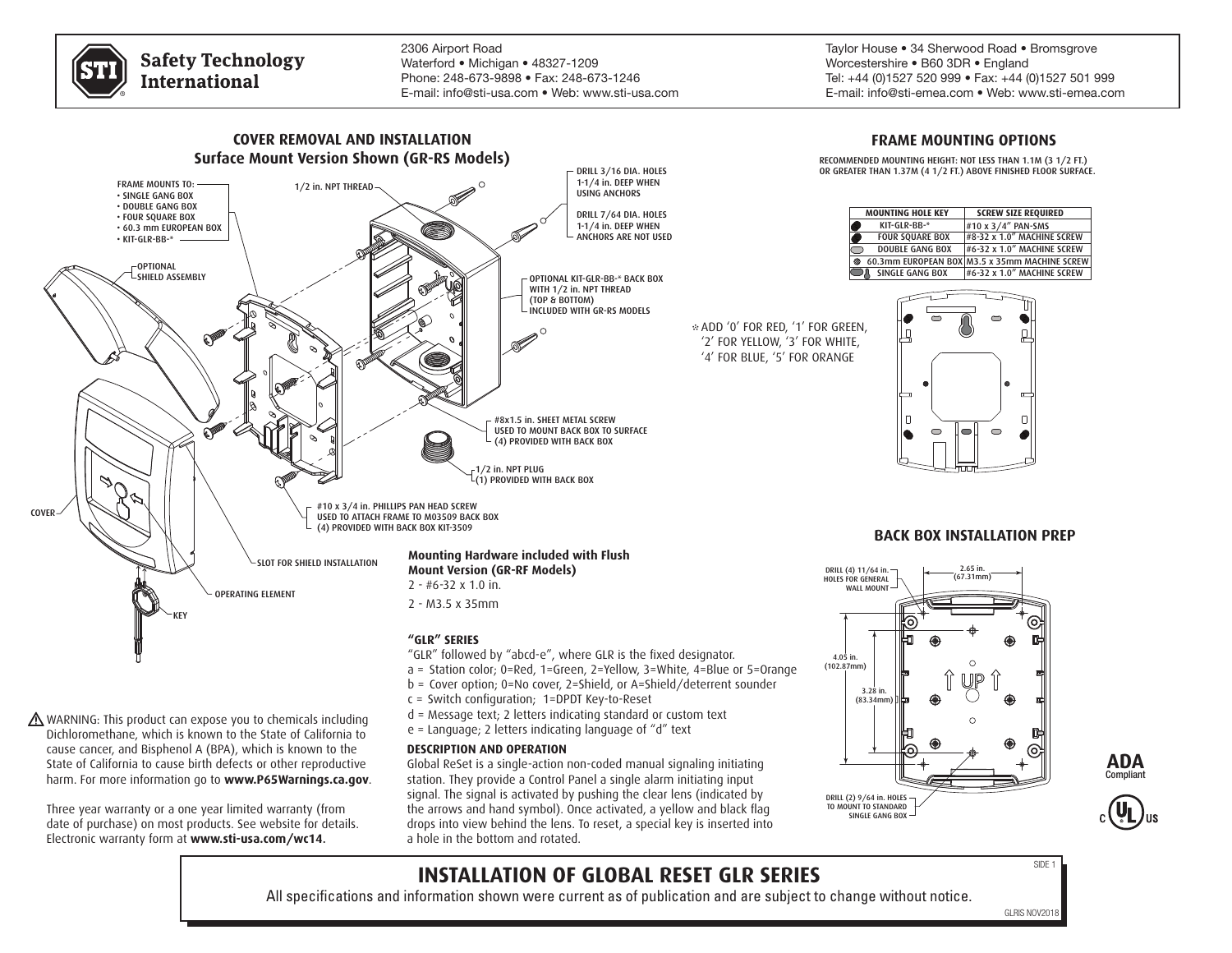

**Safety Technology International** 

2306 Airport Road Waterford • Michigan • 48327-1209 Phone: 248-673-9898 • Fax: 248-673-1246 E-mail: info@sti-usa.com • Web: www.sti-usa.com Taylor House • 34 Sherwood Road • Bromsgrove Worcestershire • B60 3DR • England Tel: +44 (0)1527 520 999 • Fax: +44 (0)1527 501 999 E-mail: info@sti-emea.com • Web: www.sti-emea.com



WARNING: This product can expose you to chemicals including Dichloromethane, which is known to the State of California to cause cancer, and Bisphenol A (BPA), which is known to the State of California to cause birth defects or other reproductive harm. For more information go to **www.P65Warnings.ca.gov**.

Three year warranty or a one year limited warranty (from date of purchase) on most products. See website for details. Electronic warranty form at **www.sti-usa.com/wc14**.

- d = Message text; 2 letters indicating standard or custom text
- e = Language; 2 letters indicating language of "d" text

### **DESCRIPTION AND OPERATION**

Global ReSet is a single-action non-coded manual signaling initiating station. They provide a Control Panel a single alarm initiating input signal. The signal is activated by pushing the clear lens (indicated by the arrows and hand symbol). Once activated, a yellow and black flag drops into view behind the lens. To reset, a special key is inserted into a hole in the bottom and rotated.

# DRILL (2) 9/64 in. HOLES TO MOUNT TO STANDARD SINGLE GANG BOX





# **INSTALLATION OF GLOBAL RESET GLR SERIES**

All specifications and information shown were current as of publication and are subject to change without notice.

SIDE 1